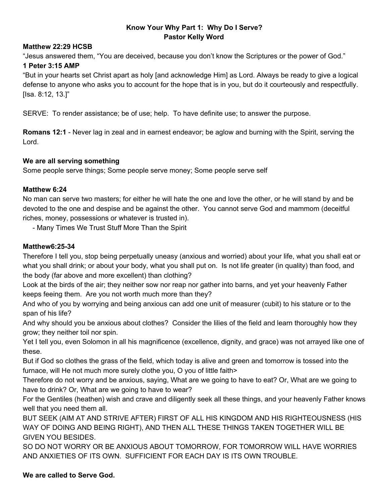### **Know Your Why Part 1: Why Do I Serve? Pastor Kelly Word**

### **Matthew 22:29 HCSB**

"Jesus answered them, "You are deceived, because you don't know the Scriptures or the power of God."

### **1 Peter 3:15 AMP**

"But in your hearts set Christ apart as holy [and acknowledge Him] as Lord. Always be ready to give a logical defense to anyone who asks you to account for the hope that is in you, but do it courteously and respectfully. [Isa. 8:12, 13.]"

SERVE: To render assistance; be of use; help. To have definite use; to answer the purpose.

**Romans 12:1** Never lag in zeal and in earnest endeavor; be aglow and burning with the Spirit, serving the Lord.

### **We are all serving something**

Some people serve things; Some people serve money; Some people serve self

### **Matthew 6:24**

No man can serve two masters; for either he will hate the one and love the other, or he will stand by and be devoted to the one and despise and be against the other. You cannot serve God and mammom (deceitful riches, money, possessions or whatever is trusted in).

- Many Times We Trust Stuff More Than the Spirit

### **Matthew6:2534**

Therefore I tell you, stop being perpetually uneasy (anxious and worried) about your life, what you shall eat or what you shall drink; or about your body, what you shall put on. Is not life greater (in quality) than food, and the body (far above and more excellent) than clothing?

Look at the birds of the air; they neither sow nor reap nor gather into barns, and yet your heavenly Father keeps feeing them. Are you not worth much more than they?

And who of you by worrying and being anxious can add one unit of measurer (cubit) to his stature or to the span of his life?

And why should you be anxious about clothes? Consider the lilies of the field and learn thoroughly how they grow; they neither toil nor spin.

Yet I tell you, even Solomon in all his magnificence (excellence, dignity, and grace) was not arrayed like one of these.

But if God so clothes the grass of the field, which today is alive and green and tomorrow is tossed into the furnace, will He not much more surely clothe you, O you of little faith>

Therefore do not worry and be anxious, saying, What are we going to have to eat? Or, What are we going to have to drink? Or, What are we going to have to wear?

For the Gentiles (heathen) wish and crave and diligently seek all these things, and your heavenly Father knows well that you need them all.

BUT SEEK (AIM AT AND STRIVE AFTER) FIRST OF ALL HIS KINGDOM AND HIS RIGHTEOUSNESS (HIS WAY OF DOING AND BEING RIGHT), AND THEN ALL THESE THINGS TAKEN TOGETHER WILL BE GIVEN YOU BESIDES.

SO DO NOT WORRY OR BE ANXIOUS ABOUT TOMORROW, FOR TOMORROW WILL HAVE WORRIES AND ANXIETIES OF ITS OWN. SUFFICIENT FOR EACH DAY IS ITS OWN TROUBLE.

### **We are called to Serve God.**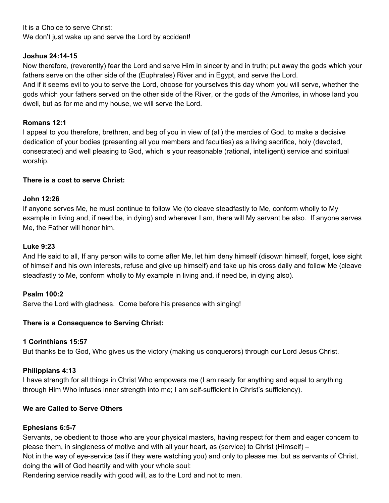It is a Choice to serve Christ: We don't just wake up and serve the Lord by accident!

#### **Joshua 24:1415**

Now therefore, (reverently) fear the Lord and serve Him in sincerity and in truth; put away the gods which your fathers serve on the other side of the (Euphrates) River and in Egypt, and serve the Lord.

And if it seems evil to you to serve the Lord, choose for yourselves this day whom you will serve, whether the gods which your fathers served on the other side of the River, or the gods of the Amorites, in whose land you dwell, but as for me and my house, we will serve the Lord.

#### **Romans 12:1**

I appeal to you therefore, brethren, and beg of you in view of (all) the mercies of God, to make a decisive dedication of your bodies (presenting all you members and faculties) as a living sacrifice, holy (devoted, consecrated) and well pleasing to God, which is your reasonable (rational, intelligent) service and spiritual worship.

#### **There is a cost to serve Christ:**

#### **John 12:26**

If anyone serves Me, he must continue to follow Me (to cleave steadfastly to Me, conform wholly to My example in living and, if need be, in dying) and wherever I am, there will My servant be also. If anyone serves Me, the Father will honor him.

#### **Luke 9:23**

And He said to all, If any person wills to come after Me, let him deny himself (disown himself, forget, lose sight of himself and his own interests, refuse and give up himself) and take up his cross daily and follow Me (cleave steadfastly to Me, conform wholly to My example in living and, if need be, in dying also).

#### **Psalm 100:2**

Serve the Lord with gladness. Come before his presence with singing!

#### **There is a Consequence to Serving Christ:**

#### **1 Corinthians 15:57**

But thanks be to God, Who gives us the victory (making us conquerors) through our Lord Jesus Christ.

#### **Philippians 4:13**

I have strength for all things in Christ Who empowers me (I am ready for anything and equal to anything through Him Who infuses inner strength into me; I am self-sufficient in Christ's sufficiency).

### **We are Called to Serve Others**

### Ephesians 6:5-7

Servants, be obedient to those who are your physical masters, having respect for them and eager concern to please them, in singleness of motive and with all your heart, as (service) to Christ (Himself) – Not in the way of eye-service (as if they were watching you) and only to please me, but as servants of Christ,

doing the will of God heartily and with your whole soul:

Rendering service readily with good will, as to the Lord and not to men.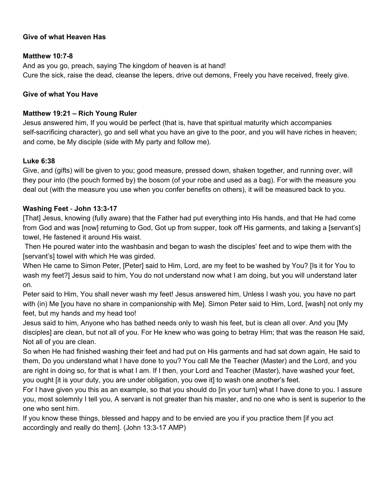#### **Give of what Heaven Has**

#### **Matthew 10:7-8**

And as you go, preach, saying The kingdom of heaven is at hand! Cure the sick, raise the dead, cleanse the lepers, drive out demons, Freely you have received, freely give.

#### **Give of what You Have**

#### **Matthew 19:21 – Rich Young Ruler**

Jesus answered him, If you would be perfect (that is, have that spiritual maturity which accompanies self-sacrificing character), go and sell what you have an give to the poor, and you will have riches in heaven; and come, be My disciple (side with My party and follow me).

#### **Luke 6:38**

Give, and (gifts) will be given to you; good measure, pressed down, shaken together, and running over, will they pour into (the pouch formed by) the bosom (of your robe and used as a bag). For with the measure you deal out (with the measure you use when you confer benefits on others), it will be measured back to you.

#### **Washing Feet - John 13:3-17**

[That] Jesus, knowing (fully aware) that the Father had put everything into His hands, and that He had come from God and was [now] returning to God, Got up from supper, took off His garments, and taking a [servant's] towel, He fastened it around His waist.

 Then He poured water into the washbasin and began to wash the disciples' feet and to wipe them with the [servant's] towel with which He was girded.

When He came to Simon Peter, [Peter] said to Him, Lord, are my feet to be washed by You? [Is it for You to wash my feet?] Jesus said to him, You do not understand now what I am doing, but you will understand later on.

Peter said to Him, You shall never wash my feet! Jesus answered him, Unless I wash you, you have no part with (in) Me [you have no share in companionship with Me]. Simon Peter said to Him, Lord, [wash] not only my feet, but my hands and my head too!

Jesus said to him, Anyone who has bathed needs only to wash his feet, but is clean all over. And you [My disciples] are clean, but not all of you. For He knew who was going to betray Him; that was the reason He said, Not all of you are clean.

So when He had finished washing their feet and had put on His garments and had sat down again, He said to them, Do you understand what I have done to you? You call Me the Teacher (Master) and the Lord, and you are right in doing so, for that is what I am. If I then, your Lord and Teacher (Master), have washed your feet, you ought [it is your duty, you are under obligation, you owe it] to wash one another's feet.

For I have given you this as an example, so that you should do [in your turn] what I have done to you. I assure you, most solemnly I tell you, A servant is not greater than his master, and no one who is sent is superior to the one who sent him.

If you know these things, blessed and happy and to be envied are you if you practice them [if you act accordingly and really do them]. (John 13:3-17 AMP)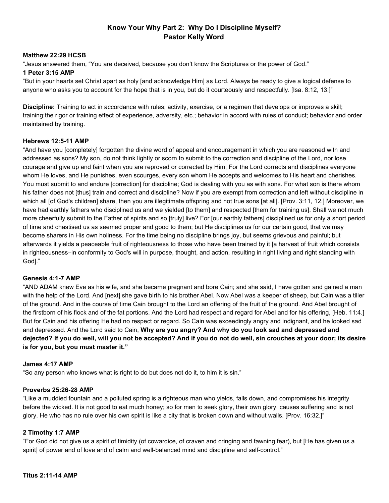### **Know Your Why Part 2: Why Do I Discipline Myself? Pastor Kelly Word**

#### **Matthew 22:29 HCSB**

"Jesus answered them, "You are deceived, because you don't know the Scriptures or the power of God."

#### **1 Peter 3:15 AMP**

"But in your hearts set Christ apart as holy [and acknowledge Him] as Lord. Always be ready to give a logical defense to anyone who asks you to account for the hope that is in you, but do it courteously and respectfully. [Isa. 8:12, 13.]"

**Discipline:** Training to act in accordance with rules; activity, exercise, or a regimen that develops or improves a skill; training;the rigor or training effect of experience, adversity, etc.; behavior in accord with rules of conduct; behavior and order maintained by training.

#### **Hebrews 12:511 AMP**

"And have you [completely] forgotten the divine word of appeal and encouragement in which you are reasoned with and addressed as sons? My son, do not think lightly or scorn to submit to the correction and discipline of the Lord, nor lose courage and give up and faint when you are reproved or corrected by Him; For the Lord corrects and disciplines everyone whom He loves, and He punishes, even scourges, every son whom He accepts and welcomes to His heart and cherishes. You must submit to and endure [correction] for discipline; God is dealing with you as with sons. For what son is there whom his father does not [thus] train and correct and discipline? Now if you are exempt from correction and left without discipline in which all [of God's children] share, then you are illegitimate offspring and not true sons [at all]. [Prov. 3:11, 12.] Moreover, we have had earthly fathers who disciplined us and we yielded [to them] and respected [them for training us]. Shall we not much more cheerfully submit to the Father of spirits and so [truly] live? For [our earthly fathers] disciplined us for only a short period of time and chastised us as seemed proper and good to them; but He disciplines us for our certain good, that we may become sharers in His own holiness. For the time being no discipline brings joy, but seems grievous and painful; but afterwards it yields a peaceable fruit of righteousness to those who have been trained by it [a harvest of fruit which consists in righteousness–in conformity to God's will in purpose, thought, and action, resulting in right living and right standing with God]."

#### **Genesis 4:17 AMP**

"AND ADAM knew Eve as his wife, and she became pregnant and bore Cain; and she said, I have gotten and gained a man with the help of the Lord. And [next] she gave birth to his brother Abel. Now Abel was a keeper of sheep, but Cain was a tiller of the ground. And in the course of time Cain brought to the Lord an offering of the fruit of the ground. And Abel brought of the firstborn of his flock and of the fat portions. And the Lord had respect and regard for Abel and for his offering, [Heb. 11:4.] But for Cain and his offering He had no respect or regard. So Cain was exceedingly angry and indignant, and he looked sad and depressed. And the Lord said to Cain, **Why are you angry? And why do you look sad and depressed and dejected? If you do well, will you not be accepted? And if you do not do well, sin crouches at your door; its desire is for you, but you must master it."**

#### **James 4:17 AMP**

"So any person who knows what is right to do but does not do it, to him it is sin."

#### **Proverbs 25:2628 AMP**

"Like a muddied fountain and a polluted spring is a righteous man who yields, falls down, and compromises his integrity before the wicked. It is not good to eat much honey; so for men to seek glory, their own glory, causes suffering and is not glory. He who has no rule over his own spirit is like a city that is broken down and without walls. [Prov. 16:32.]"

#### **2 Timothy 1:7 AMP**

"For God did not give us a spirit of timidity (of cowardice, of craven and cringing and fawning fear), but [He has given us a spirit] of power and of love and of calm and well-balanced mind and discipline and self-control."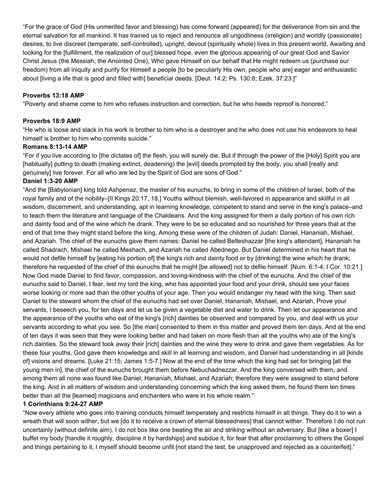"For the grace of God (His unmerited favor and blessing) has come forward (appeared) for the deliverance from sin and the eternal salvation for all mankind. It has trained us to reject and renounce all ungodliness (irreligion) and worldly (passionate) desires, to live discreet (temperate, self-controlled), upright, devout (spiritually whole) lives in this present world, Awaiting and looking for the [fulfillment, the realization of our] blessed hope, even the glorious appearing of our great God and Savior Christ Jesus (the Messiah, the Anointed One), Who gave Himself on our behalf that He might redeem us (purchase our freedom) from all iniquity and purify for Himself a people [to be peculiarly His own, people who are] eager and enthusiastic about [living a life that is good and filled with] beneficial deeds. [Deut. 14:2; Ps. 130:8; Ezek. 37:23.]"

#### **Proverbs 13:18 AMP**

"Poverty and shame come to him who refuses instruction and correction, but he who heeds reproof is honored."

#### **Proverbs 18:9 AMP**

"He who is loose and slack in his work is brother to him who is a destroyer and he who does not use his endeavors to heal himself is brother to him who commits suicide."

#### **Romans 8:13-14 AMP**

"For if you live according to [the dictates of] the flesh, you will surely die. But if through the power of the [Holy] Spirit you are [habitually] putting to death (making extinct, deadening) the [evil] deeds prompted by the body, you shall [really and genuinely] live forever. For all who are led by the Spirit of God are sons of God."

#### **Daniel 1:320 AMP**

"And the [Babylonian] king told Ashpenaz, the master of his eunuchs, to bring in some of the children of Israel, both of the royal family and of the nobility–[II Kings 20:17, 18.] Youths without blemish, well-favored in appearance and skillful in all wisdom, discernment, and understanding, apt in learning knowledge, competent to stand and serve in the king's palace–and to teach them the literature and language of the Chaldeans. And the king assigned for them a daily portion of his own rich and dainty food and of the wine which he drank. They were to be so educated and so nourished for three years that at the end of that time they might stand before the king. Among these were of the children of Judah: Daniel, Hananiah, Mishael, and Azariah. The chief of the eunuchs gave them names: Daniel he called Belteshazzar [the king's attendant], Hananiah he called Shadrach, Mishael he called Meshach, and Azariah he called Abednego. But Daniel determined in his heart that he would not defile himself by [eating his portion of] the king's rich and dainty food or by [drinking] the wine which he drank; therefore he requested of the chief of the eunuchs that he might [be allowed] not to defile himself. [Num. 6:14; I Cor. 10:21.] Now God made Daniel to find favor, compassion, and loving-kindness with the chief of the eunuchs. And the chief of the eunuchs said to Daniel, I fear, lest my lord the king, who has appointed your food and your drink, should see your faces worse looking or more sad than the other youths of your age. Then you would endanger my head with the king. Then said Daniel to the steward whom the chief of the eunuchs had set over Daniel, Hananiah, Mishael, and Azariah, Prove your servants, I beseech you, for ten days and let us be given a vegetable diet and water to drink. Then let our appearance and the appearance of the youths who eat of the king's [rich] dainties be observed and compared by you, and deal with us your servants according to what you see. So [the man] consented to them in this matter and proved them ten days. And at the end of ten days it was seen that they were looking better and had taken on more flesh than all the youths who ate of the king's rich dainties. So the steward took away their [rich] dainties and the wine they were to drink and gave them vegetables. As for these four youths, God gave them knowledge and skill in all learning and wisdom, and Daniel had understanding in all [kinds of] visions and dreams. [Luke 21:15; James 1:57.] Now at the end of the time which the king had set for bringing [all the young men in], the chief of the eunuchs brought them before Nebuchadnezzar. And the king conversed with them, and among them all none was found like Daniel, Hananiah, Mishael, and Azariah; therefore they were assigned to stand before the king. And in all matters of wisdom and understanding concerning which the king asked them, he found them ten times better than all the [learned] magicians and enchanters who were in his whole realm."

#### **1 Corinthians 9:2427 AMP**

"Now every athlete who goes into training conducts himself temperately and restricts himself in all things. They do it to win a wreath that will soon wither, but we [do it to receive a crown of eternal blessedness] that cannot wither. Therefore I do not run uncertainly (without definite aim). I do not box like one beating the air and striking without an adversary. But [like a boxer] I buffet my body [handle it roughly, discipline it by hardships] and subdue it, for fear that after proclaiming to others the Gospel and things pertaining to it, I myself should become unfit [not stand the test, be unapproved and rejected as a counterfeit]."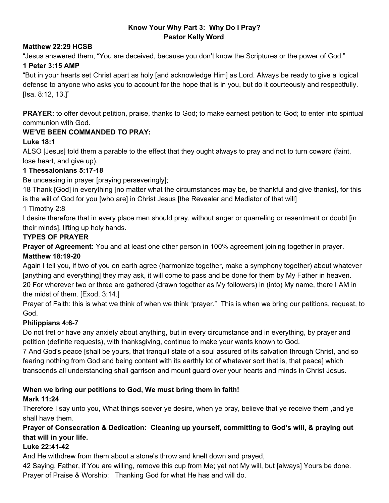### **Know Your Why Part 3: Why Do I Pray? Pastor Kelly Word**

### **Matthew 22:29 HCSB**

"Jesus answered them, "You are deceived, because you don't know the Scriptures or the power of God."

### **1 Peter 3:15 AMP**

"But in your hearts set Christ apart as holy [and acknowledge Him] as Lord. Always be ready to give a logical defense to anyone who asks you to account for the hope that is in you, but do it courteously and respectfully. [Isa. 8:12, 13.]"

**PRAYER:** to offer devout petition, praise, thanks to God; to make earnest petition to God; to enter into spiritual communion with God.

### **WE'VE BEEN COMMANDED TO PRAY:**

### **Luke 18:1**

ALSO [Jesus] told them a parable to the effect that they ought always to pray and not to turn coward (faint, lose heart, and give up).

### **1 Thessalonians 5:1718**

Be unceasing in prayer [praying perseveringly];

18 Thank [God] in everything [no matter what the circumstances may be, be thankful and give thanks], for this is the will of God for you [who are] in Christ Jesus [the Revealer and Mediator of that will]

### 1 Timothy 2:8

I desire therefore that in every place men should pray, without anger or quarreling or resentment or doubt [in their minds], lifting up holy hands.

### **TYPES OF PRAYER**

**Prayer of Agreement:** You and at least one other person in 100% agreement joining together in prayer.

### **Matthew 18:19-20**

Again I tell you, if two of you on earth agree (harmonize together, make a symphony together) about whatever [anything and everything] they may ask, it will come to pass and be done for them by My Father in heaven. 20 For wherever two or three are gathered (drawn together as My followers) in (into) My name, there I AM in the midst of them. [Exod. 3:14.]

Prayer of Faith: this is what we think of when we think "prayer." This is when we bring our petitions, request, to God.

### **Philippians 4:6-7**

Do not fret or have any anxiety about anything, but in every circumstance and in everything, by prayer and petition (definite requests), with thanksgiving, continue to make your wants known to God.

7 And God's peace [shall be yours, that tranquil state of a soul assured of its salvation through Christ, and so fearing nothing from God and being content with its earthly lot of whatever sort that is, that peace] which transcends all understanding shall garrison and mount guard over your hearts and minds in Christ Jesus.

### **When we bring our petitions to God, We must bring them in faith!**

### **Mark 11:24**

Therefore I say unto you, What things soever ye desire, when ye pray, believe that ye receive them ,and ye shall have them.

### **Prayer of Consecration & Dedication: Cleaning up yourself, committing to God's will, & praying out that will in your life.**

### **Luke 22:4142**

And He withdrew from them about a stone's throw and knelt down and prayed,

42 Saying, Father, if You are willing, remove this cup from Me; yet not My will, but [always] Yours be done. Prayer of Praise & Worship: Thanking God for what He has and will do.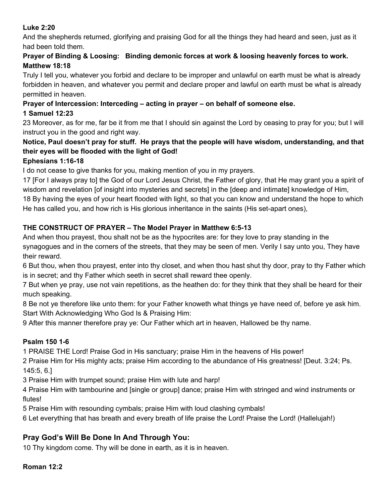### **Luke 2:20**

And the shepherds returned, glorifying and praising God for all the things they had heard and seen, just as it had been told them.

### **Prayer of Binding & Loosing: Binding demonic forces at work & loosing heavenly forces to work. Matthew 18:18**

Truly I tell you, whatever you forbid and declare to be improper and unlawful on earth must be what is already forbidden in heaven, and whatever you permit and declare proper and lawful on earth must be what is already permitted in heaven.

### **Prayer of Intercession: Interceding – acting in prayer – on behalf of someone else.**

### **1 Samuel 12:23**

23 Moreover, as for me, far be it from me that I should sin against the Lord by ceasing to pray for you; but I will instruct you in the good and right way.

### **Notice, Paul doesn't pray for stuff. He prays that the people will have wisdom, understanding, and that their eyes will be flooded with the light of God!**

### **Ephesians 1:16-18**

I do not cease to give thanks for you, making mention of you in my prayers.

17 [For I always pray to] the God of our Lord Jesus Christ, the Father of glory, that He may grant you a spirit of wisdom and revelation [of insight into mysteries and secrets] in the [deep and intimate] knowledge of Him, 18 By having the eyes of your heart flooded with light, so that you can know and understand the hope to which He has called you, and how rich is His glorious inheritance in the saints (His set-apart ones),

## **THE CONSTRUCT OF PRAYER – The Model Prayer in Matthew 6:513**

And when thou prayest, thou shalt not be as the hypocrites are: for they love to pray standing in the synagogues and in the corners of the streets, that they may be seen of men. Verily I say unto you, They have their reward.

6 But thou, when thou prayest, enter into thy closet, and when thou hast shut thy door, pray to thy Father which is in secret; and thy Father which seeth in secret shall reward thee openly.

7 But when ye pray, use not vain repetitions, as the heathen do: for they think that they shall be heard for their much speaking.

8 Be not ye therefore like unto them: for your Father knoweth what things ye have need of, before ye ask him. Start With Acknowledging Who God Is & Praising Him:

9 After this manner therefore pray ye: Our Father which art in heaven, Hallowed be thy name.

## **Psalm 150 1-6**

1 PRAISE THE Lord! Praise God in His sanctuary; praise Him in the heavens of His power!

2 Praise Him for His mighty acts; praise Him according to the abundance of His greatness! [Deut. 3:24; Ps. 145:5, 6.]

3 Praise Him with trumpet sound; praise Him with lute and harp!

4 Praise Him with tambourine and [single or group] dance; praise Him with stringed and wind instruments or flutes!

5 Praise Him with resounding cymbals; praise Him with loud clashing cymbals!

6 Let everything that has breath and every breath of life praise the Lord! Praise the Lord! (Hallelujah!)

# **Pray God's Will Be Done In And Through You:**

10 Thy kingdom come. Thy will be done in earth, as it is in heaven.

### **Roman 12:2**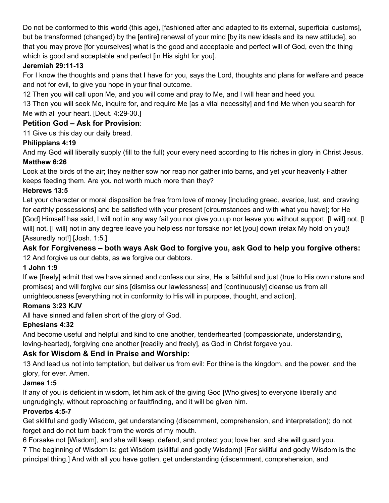Do not be conformed to this world (this age), [fashioned after and adapted to its external, superficial customs], but be transformed (changed) by the [entire] renewal of your mind [by its new ideals and its new attitude], so that you may prove [for yourselves] what is the good and acceptable and perfect will of God, even the thing which is good and acceptable and perfect [in His sight for you].

## **Jeremiah 29:1113**

For I know the thoughts and plans that I have for you, says the Lord, thoughts and plans for welfare and peace and not for evil, to give you hope in your final outcome.

12 Then you will call upon Me, and you will come and pray to Me, and I will hear and heed you.

13 Then you will seek Me, inquire for, and require Me [as a vital necessity] and find Me when you search for Me with all your heart. [Deut. 4:29-30.]

## **Petition God – Ask for Provision**:

11 Give us this day our daily bread.

### **Philippians 4:19**

And my God will liberally supply (fill to the full) your every need according to His riches in glory in Christ Jesus. **Matthew 6:26**

Look at the birds of the air; they neither sow nor reap nor gather into barns, and yet your heavenly Father keeps feeding them. Are you not worth much more than they?

### **Hebrews 13:5**

Let your character or moral disposition be free from love of money [including greed, avarice, lust, and craving for earthly possessions] and be satisfied with your present [circumstances and with what you have]; for He [God] Himself has said, I will not in any way fail you nor give you up nor leave you without support. [I will] not, [I will] not, [I will] not in any degree leave you helpless nor forsake nor let [you] down (relax My hold on you)! [Assuredly not!] [Josh. 1:5.]

## **Ask for Forgiveness – both ways Ask God to forgive you, ask God to help you forgive others:**

12 And forgive us our debts, as we forgive our debtors.

## **1 John 1:9**

If we [freely] admit that we have sinned and confess our sins, He is faithful and just (true to His own nature and promises) and will forgive our sins [dismiss our lawlessness] and [continuously] cleanse us from all unrighteousness [everything not in conformity to His will in purpose, thought, and action].

### **Romans 3:23 KJV**

All have sinned and fallen short of the glory of God.

## **Ephesians 4:32**

And become useful and helpful and kind to one another, tenderhearted (compassionate, understanding, loving-hearted), forgiving one another [readily and freely], as God in Christ forgave you.

## **Ask for Wisdom & End in Praise and Worship:**

13 And lead us not into temptation, but deliver us from evil: For thine is the kingdom, and the power, and the glory, for ever. Amen.

### **James 1:5**

If any of you is deficient in wisdom, let him ask of the giving God [Who gives] to everyone liberally and ungrudgingly, without reproaching or faultfinding, and it will be given him.

### Proverbs 4:5-7

Get skillful and godly Wisdom, get understanding (discernment, comprehension, and interpretation); do not forget and do not turn back from the words of my mouth.

6 Forsake not [Wisdom], and she will keep, defend, and protect you; love her, and she will guard you.

7 The beginning of Wisdom is: get Wisdom (skillful and godly Wisdom)! [For skillful and godly Wisdom is the principal thing.] And with all you have gotten, get understanding (discernment, comprehension, and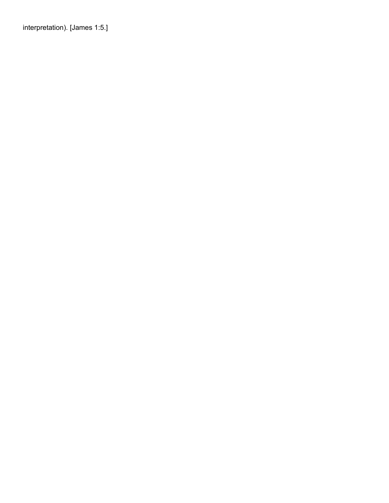interpretation). [James 1:5.]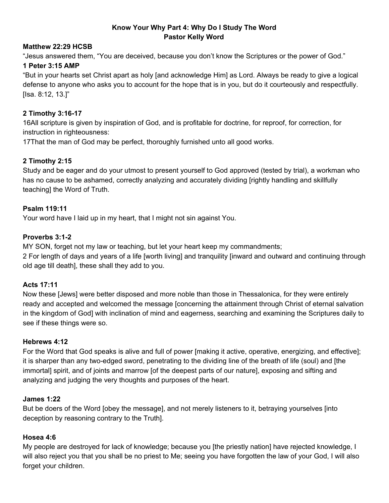### **Know Your Why Part 4: Why Do I Study The Word Pastor Kelly Word**

### **Matthew 22:29 HCSB**

"Jesus answered them, "You are deceived, because you don't know the Scriptures or the power of God."

### **1 Peter 3:15 AMP**

"But in your hearts set Christ apart as holy [and acknowledge Him] as Lord. Always be ready to give a logical defense to anyone who asks you to account for the hope that is in you, but do it courteously and respectfully. [Isa. 8:12, 13.]"

### **2 Timothy 3:1617**

16All scripture is given by inspiration of God, and is profitable for doctrine, for reproof, for correction, for instruction in righteousness:

17That the man of God may be perfect, thoroughly furnished unto all good works.

### **2 Timothy 2:15**

Study and be eager and do your utmost to present yourself to God approved (tested by trial), a workman who has no cause to be ashamed, correctly analyzing and accurately dividing [rightly handling and skillfully teaching] the Word of Truth.

### **Psalm 119:11**

Your word have I laid up in my heart, that I might not sin against You.

### **Proverbs 3:1-2**

MY SON, forget not my law or teaching, but let your heart keep my commandments; 2 For length of days and years of a life [worth living] and tranquility [inward and outward and continuing through old age till death], these shall they add to you.

### **Acts 17:11**

Now these [Jews] were better disposed and more noble than those in Thessalonica, for they were entirely ready and accepted and welcomed the message [concerning the attainment through Christ of eternal salvation in the kingdom of God] with inclination of mind and eagerness, searching and examining the Scriptures daily to see if these things were so.

### **Hebrews 4:12**

For the Word that God speaks is alive and full of power [making it active, operative, energizing, and effective]; it is sharper than any two-edged sword, penetrating to the dividing line of the breath of life (soul) and [the immortal] spirit, and of joints and marrow [of the deepest parts of our nature], exposing and sifting and analyzing and judging the very thoughts and purposes of the heart.

### **James 1:22**

But be doers of the Word [obey the message], and not merely listeners to it, betraying yourselves [into deception by reasoning contrary to the Truth].

### **Hosea 4:6**

My people are destroyed for lack of knowledge; because you [the priestly nation] have rejected knowledge, I will also reject you that you shall be no priest to Me; seeing you have forgotten the law of your God, I will also forget your children.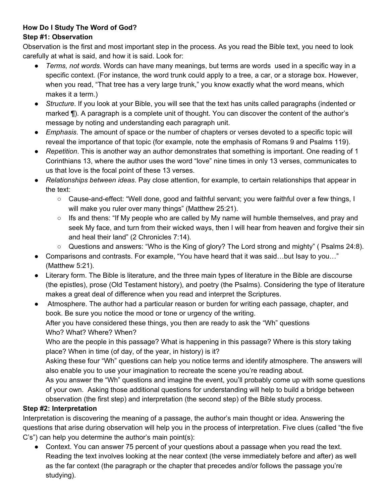### **How Do I Study The Word of God?**

### **Step #1: Observation**

Observation is the first and most important step in the process. As you read the Bible text, you need to look carefully at what is said, and how it is said. Look for:

- *Terms, not words*. Words can have many meanings, but terms are words used in a specific way in a specific context. (For instance, the word trunk could apply to a tree, a car, or a storage box. However, when you read, "That tree has a very large trunk," you know exactly what the word means, which makes it a term.)
- *Structure*. If you look at your Bible, you will see that the text has units called paragraphs (indented or marked ¶). A paragraph is a complete unit of thought. You can discover the content of the author's message by noting and understanding each paragraph unit.
- *Emphasis*. The amount of space or the number of chapters or verses devoted to a specific topic will reveal the importance of that topic (for example, note the emphasis of Romans 9 and Psalms 119).
- *Repetition*. This is another way an author demonstrates that something is important. One reading of 1 Corinthians 13, where the author uses the word "love" nine times in only 13 verses, communicates to us that love is the focal point of these 13 verses.
- *Relationships between ideas*. Pay close attention, for example, to certain relationships that appear in the text:
	- Cause-and-effect: "Well done, good and faithful servant; you were faithful over a few things, I will make you ruler over many things" (Matthew 25:21).
	- Ifs and thens: "If My people who are called by My name will humble themselves, and pray and seek My face, and turn from their wicked ways, then I will hear from heaven and forgive their sin and heal their land" (2 Chronicles 7:14).
	- Questions and answers: "Who is the King of glory? The Lord strong and mighty" ( Psalms 24:8).
- Comparisons and contrasts. For example, "You have heard that it was said...but Isay to you..." (Matthew 5:21).
- Literary form. The Bible is literature, and the three main types of literature in the Bible are discourse (the epistles), prose (Old Testament history), and poetry (the Psalms). Considering the type of literature makes a great deal of difference when you read and interpret the Scriptures.
- Atmosphere. The author had a particular reason or burden for writing each passage, chapter, and book. Be sure you notice the mood or tone or urgency of the writing. After you have considered these things, you then are ready to ask the "Wh" questions Who? What? Where? When?

Who are the people in this passage? What is happening in this passage? Where is this story taking place? When in time (of day, of the year, in history) is it?

Asking these four "Wh" questions can help you notice terms and identify atmosphere. The answers will also enable you to use your imagination to recreate the scene you're reading about.

As you answer the "Wh" questions and imagine the event, you'll probably come up with some questions of your own. Asking those additional questions for understanding will help to build a bridge between observation (the first step) and interpretation (the second step) of the Bible study process.

### **Step #2: Interpretation**

Interpretation is discovering the meaning of a passage, the author's main thought or idea. Answering the questions that arise during observation will help you in the process of interpretation. Five clues (called "the five C's") can help you determine the author's main point(s):

• Context. You can answer 75 percent of your questions about a passage when you read the text. Reading the text involves looking at the near context (the verse immediately before and after) as well as the far context (the paragraph or the chapter that precedes and/or follows the passage you're studying).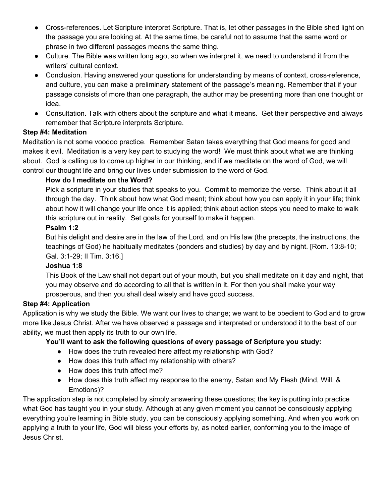- Crossreferences. Let Scripture interpret Scripture. That is, let other passages in the Bible shed light on the passage you are looking at. At the same time, be careful not to assume that the same word or phrase in two different passages means the same thing.
- Culture. The Bible was written long ago, so when we interpret it, we need to understand it from the writers' cultural context.
- Conclusion. Having answered your questions for understanding by means of context, cross-reference, and culture, you can make a preliminary statement of the passage's meaning. Remember that if your passage consists of more than one paragraph, the author may be presenting more than one thought or idea.
- Consultation. Talk with others about the scripture and what it means. Get their perspective and always remember that Scripture interprets Scripture.

### **Step #4: Meditation**

Meditation is not some voodoo practice. Remember Satan takes everything that God means for good and makes it evil. Meditation is a very key part to studying the word! We must think about what we are thinking about. God is calling us to come up higher in our thinking, and if we meditate on the word of God, we will control our thought life and bring our lives under submission to the word of God.

### **How do I meditate on the Word?**

Pick a scripture in your studies that speaks to you. Commit to memorize the verse. Think about it all through the day. Think about how what God meant; think about how you can apply it in your life; think about how it will change your life once it is applied; think about action steps you need to make to walk this scripture out in reality. Set goals for yourself to make it happen.

### **Psalm 1:2**

But his delight and desire are in the law of the Lord, and on His law (the precepts, the instructions, the teachings of God) he habitually meditates (ponders and studies) by day and by night. [Rom. 13:8-10; Gal. 3:129; II Tim. 3:16.]

### **Joshua 1:8**

This Book of the Law shall not depart out of your mouth, but you shall meditate on it day and night, that you may observe and do according to all that is written in it. For then you shall make your way prosperous, and then you shall deal wisely and have good success.

### **Step #4: Application**

Application is why we study the Bible. We want our lives to change; we want to be obedient to God and to grow more like Jesus Christ. After we have observed a passage and interpreted or understood it to the best of our ability, we must then apply its truth to our own life.

### **You'll want to ask the following questions of every passage of Scripture you study:**

- **●** How does the truth revealed here affect my relationship with God?
- How does this truth affect my relationship with others?
- How does this truth affect me?
- How does this truth affect my response to the enemy, Satan and My Flesh (Mind, Will, & Emotions)?

The application step is not completed by simply answering these questions; the key is putting into practice what God has taught you in your study. Although at any given moment you cannot be consciously applying everything you're learning in Bible study, you can be consciously applying something. And when you work on applying a truth to your life, God will bless your efforts by, as noted earlier, conforming you to the image of Jesus Christ.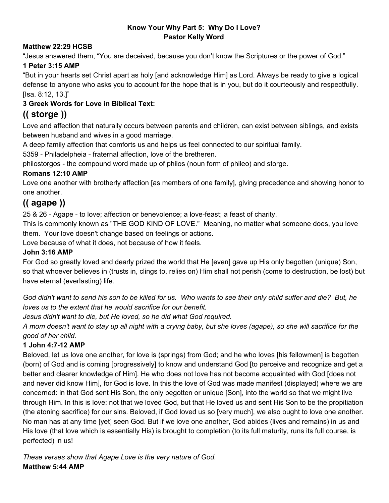### **Know Your Why Part 5: Why Do I Love? Pastor Kelly Word**

### **Matthew 22:29 HCSB**

"Jesus answered them, "You are deceived, because you don't know the Scriptures or the power of God."

## **1 Peter 3:15 AMP**

"But in your hearts set Christ apart as holy [and acknowledge Him] as Lord. Always be ready to give a logical defense to anyone who asks you to account for the hope that is in you, but do it courteously and respectfully. [Isa. 8:12, 13.]"

## **3 Greek Words for Love in Biblical Text:**

# **(( storge ))**

Love and affection that naturally occurs between parents and children, can exist between siblings, and exists between husband and wives in a good marriage.

A deep family affection that comforts us and helps us feel connected to our spiritual family.

5359 Philadelpheia fraternal affection, love of the bretheren.

philostorgos the compound word made up of philos (noun form of phileo) and storge.

## **Romans 12:10 AMP**

Love one another with brotherly affection [as members of one family], giving precedence and showing honor to one another.

# **(( agape ))**

25 & 26 - Agape - to love; affection or benevolence; a love-feast; a feast of charity.

This is commonly known as "THE GOD KIND OF LOVE." Meaning, no matter what someone does, you love them. Your love doesn't change based on feelings or actions.

Love because of what it does, not because of how it feels.

### **John 3:16 AMP**

For God so greatly loved and dearly prized the world that He [even] gave up His only begotten (unique) Son, so that whoever believes in (trusts in, clings to, relies on) Him shall not perish (come to destruction, be lost) but have eternal (everlasting) life.

*God didn't want to send his son to be killed for us. Who wants to see their only child suffer and die? But, he loves us to the extent that he would sacrifice for our benefit.*

*Jesus didn't want to die, but He loved, so he did what God required.*

*A mom doesn't want to stay up all night with a crying baby, but she loves (agape), so she will sacrifice for the good of her child.*

## **1 John 4:712 AMP**

Beloved, let us love one another, for love is (springs) from God; and he who loves [his fellowmen] is begotten (born) of God and is coming [progressively] to know and understand God [to perceive and recognize and get a better and clearer knowledge of Him]. He who does not love has not become acquainted with God [does not and never did know Him], for God is love. In this the love of God was made manifest (displayed) where we are concerned: in that God sent His Son, the only begotten or unique [Son], into the world so that we might live through Him. In this is love: not that we loved God, but that He loved us and sent His Son to be the propitiation (the atoning sacrifice) for our sins. Beloved, if God loved us so [very much], we also ought to love one another. No man has at any time [yet] seen God. But if we love one another, God abides (lives and remains) in us and His love (that love which is essentially His) is brought to completion (to its full maturity, runs its full course, is perfected) in us!

*These verses show that Agape Love is the very nature of God.* **Matthew 5:44 AMP**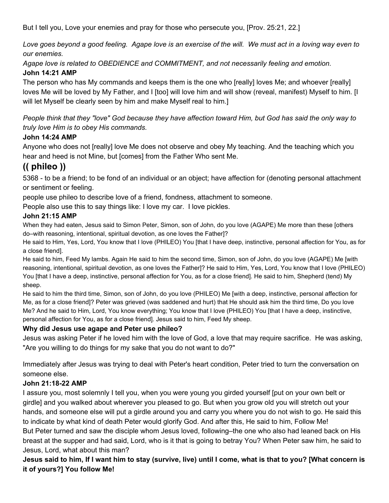But I tell you, Love your enemies and pray for those who persecute you, [Prov. 25:21, 22.]

*Love goes beyond a good feeling. Agape love is an exercise of the will. We must act in a loving way even to our enemies.*

*Agape love is related to OBEDIENCE and COMMITMENT, and not necessarily feeling and emotion.*

### **John 14:21 AMP**

The person who has My commands and keeps them is the one who [really] loves Me; and whoever [really] loves Me will be loved by My Father, and I [too] will love him and will show (reveal, manifest) Myself to him. [I will let Myself be clearly seen by him and make Myself real to him.]

*People think that they "love" God because they have affection toward Him, but God has said the only way to truly love Him is to obey His commands.*

### **John 14:24 AMP**

Anyone who does not [really] love Me does not observe and obey My teaching. And the teaching which you hear and heed is not Mine, but [comes] from the Father Who sent Me.

# **(( phileo ))**

5368 to be a friend; to be fond of an individual or an object; have affection for (denoting personal attachment or sentiment or feeling.

people use phileo to describe love of a friend, fondness, attachment to someone.

People also use this to say things like: I love my car. I love pickles.

### **John 21:15 AMP**

When they had eaten, Jesus said to Simon Peter, Simon, son of John, do you love (AGAPE) Me more than these [others do–with reasoning, intentional, spiritual devotion, as one loves the Father]?

He said to Him, Yes, Lord, You know that I love (PHILEO) You [that I have deep, instinctive, personal affection for You, as for a close friend].

He said to him, Feed My lambs. Again He said to him the second time, Simon, son of John, do you love (AGAPE) Me [with reasoning, intentional, spiritual devotion, as one loves the Father]? He said to Him, Yes, Lord, You know that I love (PHILEO) You [that I have a deep, instinctive, personal affection for You, as for a close friend]. He said to him, Shepherd (tend) My sheep.

He said to him the third time, Simon, son of John, do you love (PHILEO) Me [with a deep, instinctive, personal affection for Me, as for a close friend]? Peter was grieved (was saddened and hurt) that He should ask him the third time, Do you love Me? And he said to Him, Lord, You know everything; You know that I love (PHILEO) You [that I have a deep, instinctive, personal affection for You, as for a close friend]. Jesus said to him, Feed My sheep.

### **Why did Jesus use agape and Peter use phileo?**

Jesus was asking Peter if he loved him with the love of God, a love that may require sacrifice. He was asking, "Are you willing to do things for my sake that you do not want to do?"

Immediately after Jesus was trying to deal with Peter's heart condition, Peter tried to turn the conversation on someone else.

### **John 21:1822 AMP**

I assure you, most solemnly I tell you, when you were young you girded yourself [put on your own belt or girdle] and you walked about wherever you pleased to go. But when you grow old you will stretch out your hands, and someone else will put a girdle around you and carry you where you do not wish to go. He said this to indicate by what kind of death Peter would glorify God. And after this, He said to him, Follow Me! But Peter turned and saw the disciple whom Jesus loved, following–the one who also had leaned back on His breast at the supper and had said, Lord, who is it that is going to betray You? When Peter saw him, he said to Jesus, Lord, what about this man?

**Jesus said to him, If I want him to stay (survive, live) until I come, what is that to you? [What concern is it of yours?] You follow Me!**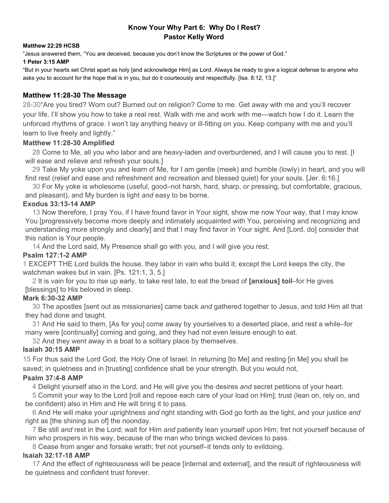#### **Know Your Why Part 6: Why Do I Rest? Pastor Kelly Word**

#### **Matthew 22:29 HCSB**

"Jesus answered them, "You are deceived, because you don't know the Scriptures or the power of God."

#### **1 Peter 3:15 AMP**

"But in your hearts set Christ apart as holy [and acknowledge Him] as Lord. Always be ready to give a logical defense to anyone who asks you to account for the hope that is in you, but do it courteously and respectfully. [Isa. 8:12, 13.]"

#### **Matthew 11:28-30 The Message**

28-30"Are you tired? Worn out? Burned out on religion? Come to me. Get away with me and you'll recover your life. I'll show you how to take a real rest. Walk with me and work with me—watch how I do it. Learn the unforced rhythms of grace. I won't lay anything heavy or ill-fitting on you. Keep company with me and you'll learn to live freely and lightly."

#### **Matthew 11:28-30 Amplified**

28 Come to Me, all you who labor and are heavyladen *and* overburdened, and I will cause you to rest. [I will ease and relieve and refresh your souls.]

29 Take My yoke upon you and learn of Me, for I am gentle (meek) and humble (lowly) in heart, and you will find rest (relief and ease and refreshment and recreation and blessed quiet) for your souls. [Jer. 6:16.]

30 For My yoke is wholesome (useful, good–not harsh, hard, sharp, or pressing, but comfortable, gracious, and pleasant), and My burden is light *and* easy to be borne.

#### **Exodus 33:13-14 AMP**

13 Now therefore, I pray You, if I have found favor in Your sight, show me now Your way, that I may know You [progressively become more deeply and intimately acquainted with You, perceiving and recognizing and understanding more strongly and clearly] and that I may find favor in Your sight. And [Lord, do] consider that this nation is Your people.

14 And the Lord said, My Presence shall go with you, and I will give you rest.

#### **Psalm 127:1-2 AMP**

1 EXCEPT THE Lord builds the house, they labor in vain who build it; except the Lord keeps the city, the watchman wakes but in vain. [Ps. 121:1, 3, 5.]

2 It is vain for you to rise up early, to take rest late, to eat the bread of **[anxious] toil**– for He gives [blessings] to His beloved in sleep.

#### **Mark 6:3032 AMP**

30 The apostles [sent out as missionaries] came back *and* gathered together to Jesus, and told Him all that they had done and taught.

31 And He said to them, [As for you] come away by yourselves to a deserted place, and rest a while–for many were [continually] coming and going, and they had not even leisure enough to eat.

32 And they went away in a boat to a solitary place by themselves.

#### **Isaiah 30:15 AMP**

15 For thus said the Lord God, the Holy One of Israel: In returning [to Me] and resting [in Me] you shall be saved; in quietness and in [trusting] confidence shall be your strength. But you would not,

#### **Psalm 37:4-8 AMP**

4 Delight yourself also in the Lord, and He will give you the desires *and* secret petitions of your heart.

5 Commit your way to the Lord [roll and repose each care of your load on Him]; trust (lean on, rely on, and be confident) also in Him and He will bring it to pass.

6 And He will make your uprightness *and* right standing with God go forth as the light, and your justice *and* right as [the shining sun of] the noonday.

7 Be still *and* rest in the Lord; wait for Him *and* patiently lean yourself upon Him; fret not yourself because of him who prospers in his way, because of the man who brings wicked devices to pass.

8 Cease from anger and forsake wrath; fret not yourself–it tends only to evildoing.

#### **Isaiah 32:17-18 AMP**

17 And the effect of righteousness will be peace [internal and external], and the result of righteousness will be quietness and confident trust forever.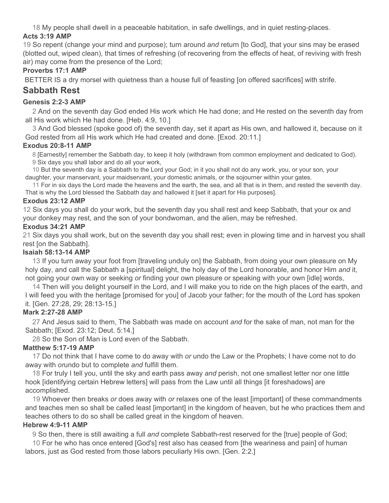18 My people shall dwell in a peaceable habitation, in safe dwellings, and in quiet resting-places.

#### **Acts 3:19 AMP**

19 So repent (change your mind and purpose); turn around *and* return [to God], that your sins may be erased (blotted out, wiped clean), that times of refreshing (of recovering from the effects of heat, of reviving with fresh air) may come from the presence of the Lord;

### **Proverbs 17:1 AMP**

BETTER IS a dry morsel with quietness than a house full of feasting [on offered sacrifices] with strife.

## **Sabbath Rest**

#### **Genesis 2:23 AMP**

2 And on the seventh day God ended His work which He had done; and He rested on the seventh day from all His work which He had done. [Heb. 4:9, 10.]

3 And God blessed (spoke good of) the seventh day, set it apart as His own, and hallowed it, because on it God rested from all His work which He had created and done. [Exod. 20:11.]

#### **Exodus 20:811 AMP**

8 [Earnestly] remember the Sabbath day, to keep it holy (withdrawn from common employment and dedicated to God).

9 Six days you shall labor and do all your work,

10 But the seventh day is a Sabbath to the Lord your God; in it you shall not do any work, you, or your son, your daughter, your manservant, your maidservant, your domestic animals, or the sojourner within your gates.

11 For in six days the Lord made the heavens and the earth, the sea, and all that is in them, and rested the seventh day. That is why the Lord blessed the Sabbath day and hallowed it [set it apart for His purposes].

#### **Exodus 23:12 AMP**

12 Six days you shall do your work, but the seventh day you shall rest and keep Sabbath, that your ox and your donkey may rest, and the son of your bondwoman, and the alien, may be refreshed.

#### **Exodus 34:21 AMP**

21 Six days you shall work, but on the seventh day you shall rest; even in plowing time and in harvest you shall rest [on the Sabbath].

#### **Isaiah 58:13-14 AMP**

13 If you turn away your foot from [traveling unduly on] the Sabbath, from doing your own pleasure on My holy day, and call the Sabbath a [spiritual] delight, the holy day of the Lord honorable, and honor Him *and* it, not going your own way or seeking *or* finding your own pleasure or speaking with your own [idle] words,

14 Then will you delight yourself in the Lord, and I will make you to ride on the high places of the earth, and I will feed you with the heritage [promised for you] of Jacob your father; for the mouth of the Lord has spoken it. [Gen. 27:28, 29; 28:13-15.]

### **Mark 2:27-28 AMP**

27 And Jesus said to them, The Sabbath was made on account *and* for the sake of man, not man for the Sabbath; [Exod. 23:12; Deut. 5:14.]

28 So the Son of Man is Lord even of the Sabbath.

### **Matthew 5:17-19 AMP**

17 Do not think that I have come to do away with *or* undo the Law or the Prophets; I have come not to do away with *or*undo but to complete *and* fulfill them.

18 For truly I tell you, until the sky and earth pass away *and* perish, not one smallest letter nor one little hook [identifying certain Hebrew letters] will pass from the Law until all things [it foreshadows] are accomplished.

19 Whoever then breaks *or* does away with *or* relaxes one of the least [important] of these commandments and teaches men so shall be called least [important] in the kingdom of heaven, but he who practices them and teaches others to do so shall be called great in the kingdom of heaven.

#### **Hebrew 4:911 AMP**

9 So then, there is still awaiting a full *and* complete Sabbath-rest reserved for the [true] people of God;

10 For he who has once entered [God's] rest also has ceased from [the weariness and pain] of human labors, just as God rested from those labors peculiarly His own. [Gen. 2:2.]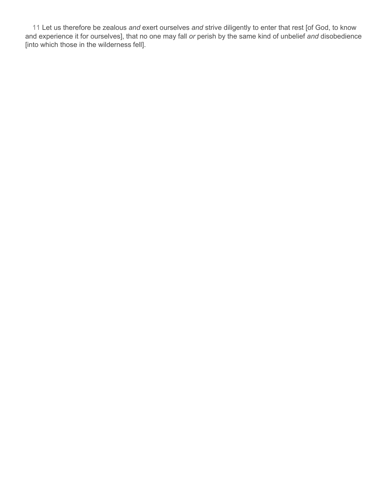11 Let us therefore be zealous *and* exert ourselves *and* strive diligently to enter that rest [of God, to know and experience it for ourselves], that no one may fall *or* perish by the same kind of unbelief *and* disobedience [into which those in the wilderness fell].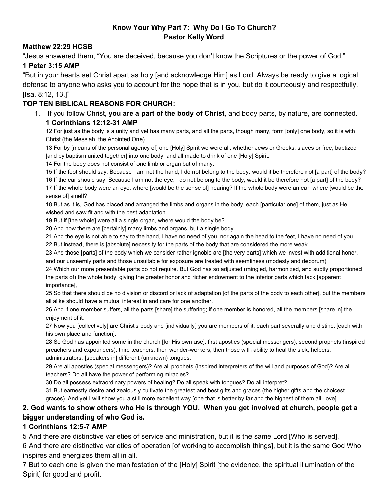### **Know Your Why Part 7: Why Do I Go To Church? Pastor Kelly Word**

### **Matthew 22:29 HCSB**

"Jesus answered them, "You are deceived, because you don't know the Scriptures or the power of God."

### **1 Peter 3:15 AMP**

"But in your hearts set Christ apart as holy [and acknowledge Him] as Lord. Always be ready to give a logical defense to anyone who asks you to account for the hope that is in you, but do it courteously and respectfully. [Isa. 8:12, 13.]"

### **TOP TEN BIBLICAL REASONS FOR CHURCH:**

1. If you follow Christ, **you are a part of the body of Christ**, and body parts, by nature, are connected. **1 Corinthians 12:1231 AMP**

12 For just as the body is a unity and yet has many parts, and all the parts, though many, form [only] one body, so it is with Christ (the Messiah, the Anointed One).

13 For by [means of the personal agency of] one [Holy] Spirit we were all, whether Jews or Greeks, slaves or free, baptized [and by baptism united together] into one body, and all made to drink of one [Holy] Spirit.

14 For the body does not consist of one limb or organ but of many.

15 If the foot should say, Because I am not the hand, I do not belong to the body, would it be therefore not [a part] of the body?

16 If the ear should say, Because I am not the eye, I do not belong to the body, would it be therefore not [a part] of the body? 17 If the whole body were an eye, where [would be the sense of] hearing? If the whole body were an ear, where [would be the sense of] smell?

18 But as it is, God has placed and arranged the limbs and organs in the body, each [particular one] of them, just as He wished and saw fit and with the best adaptation.

19 But if [the whole] were all a single organ, where would the body be?

20 And now there are [certainly] many limbs and organs, but a single body.

21 And the eye is not able to say to the hand, I have no need of you, nor again the head to the feet, I have no need of you.

22 But instead, there is [absolute] necessity for the parts of the body that are considered the more weak.

23 And those [parts] of the body which we consider rather ignoble are [the very parts] which we invest with additional honor, and our unseemly parts and those unsuitable for exposure are treated with seemliness (modesty and decorum),

24 Which our more presentable parts do not require. But God has so adjusted (mingled, harmonized, and subtly proportioned the parts of) the whole body, giving the greater honor and richer endowment to the inferior parts which lack [apparent importance],

25 So that there should be no division or discord or lack of adaptation [of the parts of the body to each other], but the members all alike should have a mutual interest in and care for one another.

26 And if one member suffers, all the parts [share] the suffering; if one member is honored, all the members [share in] the enjoyment of it.

27 Now you [collectively] are Christ's body and [individually] you are members of it, each part severally and distinct [each with his own place and function].

28 So God has appointed some in the church [for His own use]: first apostles (special messengers); second prophets (inspired preachers and expounders); third teachers; then wonder-workers; then those with ability to heal the sick; helpers; administrators; [speakers in] different (unknown) tongues.

29 Are all apostles (special messengers)? Are all prophets (inspired interpreters of the will and purposes of God)? Are all teachers? Do all have the power of performing miracles?

30 Do all possess extraordinary powers of healing? Do all speak with tongues? Do all interpret?

31 But earnestly desire and zealously cultivate the greatest and best gifts and graces (the higher gifts and the choicest graces). And yet I will show you a still more excellent way [one that is better by far and the highest of them all–love].

### **2. God wants to show others who He is through YOU. When you get involved at church, people get a bigger understanding of who God is.**

### **1 Corinthians 12:57 AMP**

5 And there are distinctive varieties of service and ministration, but it is the same Lord [Who is served].

6 And there are distinctive varieties of operation [of working to accomplish things], but it is the same God Who inspires and energizes them all in all.

7 But to each one is given the manifestation of the [Holy] Spirit [the evidence, the spiritual illumination of the Spirit] for good and profit.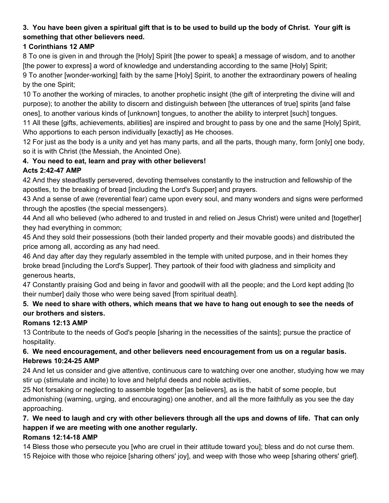### **3. You have been given a spiritual gift that is to be used to build up the body of Christ. Your gift is something that other believers need.**

## **1 Corinthians 12 AMP**

8 To one is given in and through the [Holy] Spirit [the power to speak] a message of wisdom, and to another [the power to express] a word of knowledge and understanding according to the same [Holy] Spirit;

9 To another [wonder-working] faith by the same [Holy] Spirit, to another the extraordinary powers of healing by the one Spirit;

10 To another the working of miracles, to another prophetic insight (the gift of interpreting the divine will and purpose); to another the ability to discern and distinguish between [the utterances of true] spirits [and false ones], to another various kinds of [unknown] tongues, to another the ability to interpret [such] tongues.

11 All these [gifts, achievements, abilities] are inspired and brought to pass by one and the same [Holy] Spirit, Who apportions to each person individually [exactly] as He chooses.

12 For just as the body is a unity and yet has many parts, and all the parts, though many, form [only] one body, so it is with Christ (the Messiah, the Anointed One).

## **4. You need to eat, learn and pray with other believers!**

## **Acts 2:4247 AMP**

42 And they steadfastly persevered, devoting themselves constantly to the instruction and fellowship of the apostles, to the breaking of bread [including the Lord's Supper] and prayers.

43 And a sense of awe (reverential fear) came upon every soul, and many wonders and signs were performed through the apostles (the special messengers).

44 And all who believed (who adhered to and trusted in and relied on Jesus Christ) were united and [together] they had everything in common;

45 And they sold their possessions (both their landed property and their movable goods) and distributed the price among all, according as any had need.

46 And day after day they regularly assembled in the temple with united purpose, and in their homes they broke bread [including the Lord's Supper]. They partook of their food with gladness and simplicity and generous hearts,

47 Constantly praising God and being in favor and goodwill with all the people; and the Lord kept adding [to their number] daily those who were being saved [from spiritual death].

## **5. We need to share with others, which means that we have to hang out enough to see the needs of our brothers and sisters.**

## **Romans 12:13 AMP**

13 Contribute to the needs of God's people [sharing in the necessities of the saints]; pursue the practice of hospitality.

### **6. We need encouragement, and other believers need encouragement from us on a regular basis. Hebrews 10:2425 AMP**

24 And let us consider and give attentive, continuous care to watching over one another, studying how we may stir up (stimulate and incite) to love and helpful deeds and noble activities,

25 Not forsaking or neglecting to assemble together [as believers], as is the habit of some people, but admonishing (warning, urging, and encouraging) one another, and all the more faithfully as you see the day approaching.

# **7. We need to laugh and cry with other believers through all the ups and downs of life. That can only happen if we are meeting with one another regularly.**

## **Romans 12:14-18 AMP**

14 Bless those who persecute you [who are cruel in their attitude toward you]; bless and do not curse them.

15 Rejoice with those who rejoice [sharing others' joy], and weep with those who weep [sharing others' grief].